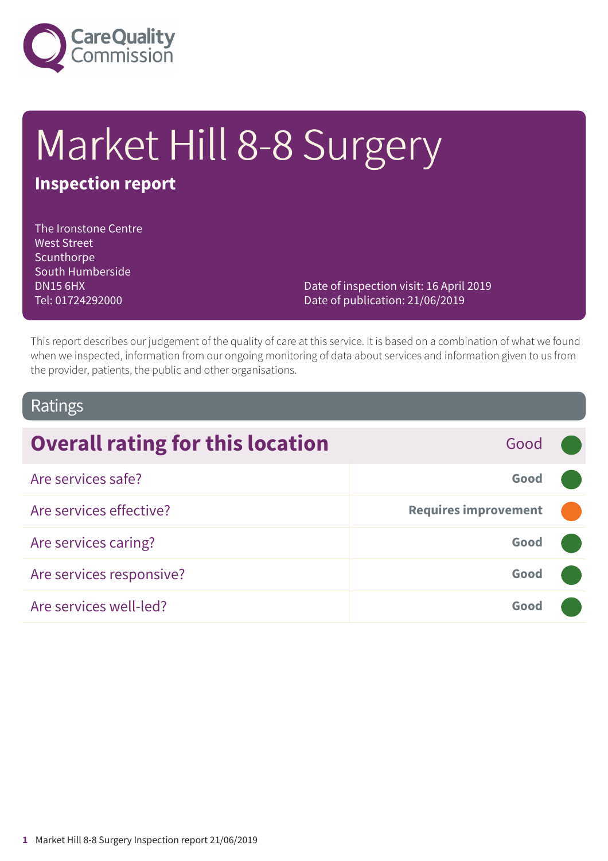

# Market Hill 8-8 Surgery

# **Inspection report**

The Ironstone Centre West Street Scunthorpe South Humberside DN15 6HX Tel: 01724292000

Date of inspection visit: 16 April 2019 Date of publication: 21/06/2019

This report describes our judgement of the quality of care at this service. It is based on a combination of what we found when we inspected, information from our ongoing monitoring of data about services and information given to us from the provider, patients, the public and other organisations.

#### Ratings

| <b>Overall rating for this location</b> | Good                        |  |
|-----------------------------------------|-----------------------------|--|
| Are services safe?                      | Good                        |  |
| Are services effective?                 | <b>Requires improvement</b> |  |
| Are services caring?                    | Good                        |  |
| Are services responsive?                | Good                        |  |
| Are services well-led?                  | Good                        |  |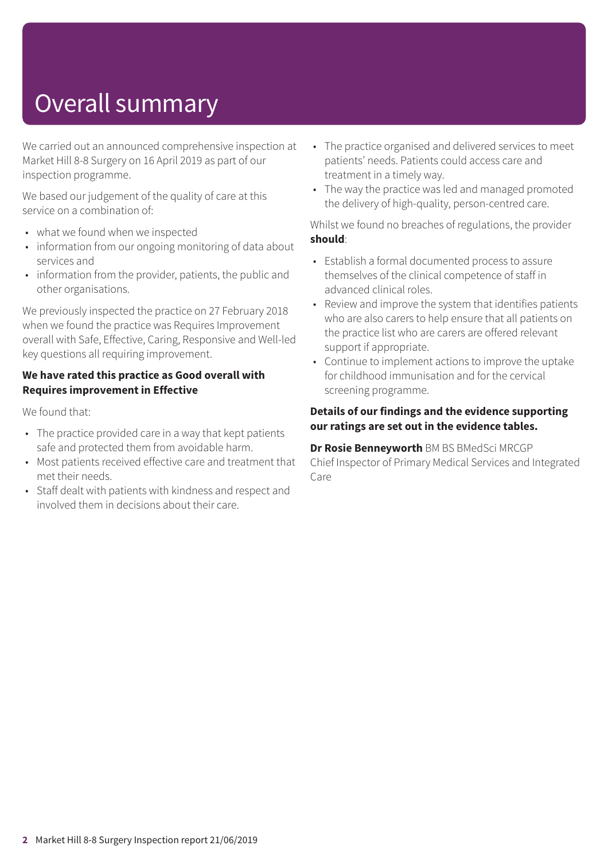# Overall summary

We carried out an announced comprehensive inspection at Market Hill 8-8 Surgery on 16 April 2019 as part of our inspection programme.

We based our judgement of the quality of care at this service on a combination of:

- what we found when we inspected
- information from our ongoing monitoring of data about services and
- information from the provider, patients, the public and other organisations.

We previously inspected the practice on 27 February 2018 when we found the practice was Requires Improvement overall with Safe, Effective, Caring, Responsive and Well-led key questions all requiring improvement.

#### **We have rated this practice as Good overall with Requires improvement in Effective**

We found that:

- The practice provided care in a way that kept patients safe and protected them from avoidable harm.
- Most patients received effective care and treatment that met their needs.
- Staff dealt with patients with kindness and respect and involved them in decisions about their care.
- The practice organised and delivered services to meet patients' needs. Patients could access care and treatment in a timely way.
- The way the practice was led and managed promoted the delivery of high-quality, person-centred care.

Whilst we found no breaches of regulations, the provider **should**:

- Establish a formal documented process to assure themselves of the clinical competence of staff in advanced clinical roles.
- Review and improve the system that identifies patients who are also carers to help ensure that all patients on the practice list who are carers are offered relevant support if appropriate.
- Continue to implement actions to improve the uptake for childhood immunisation and for the cervical screening programme.

#### **Details of our findings and the evidence supporting our ratings are set out in the evidence tables.**

**Dr Rosie Benneyworth** BM BS BMedSci MRCGP Chief Inspector of Primary Medical Services and Integrated Care